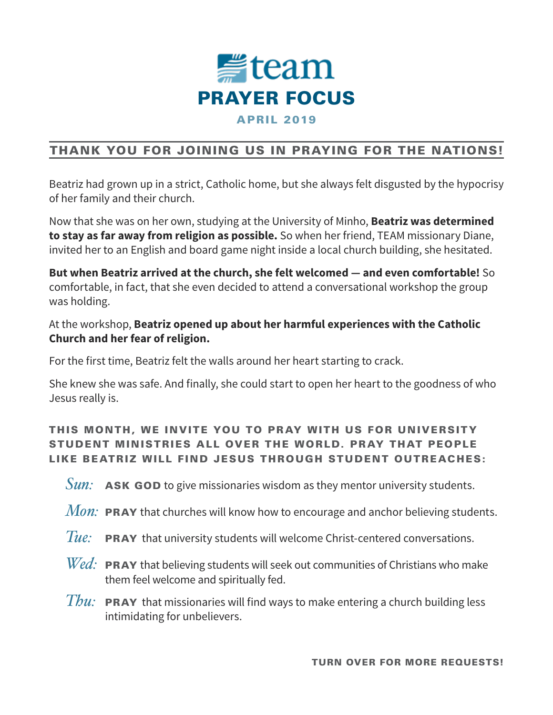

# THANK YOU FOR JOINING US IN PRAYING FOR THE NATIONS!

Beatriz had grown up in a strict, Catholic home, but she always felt disgusted by the hypocrisy of her family and their church.

Now that she was on her own, studying at the University of Minho, **Beatriz was determined to stay as far away from religion as possible.** So when her friend, TEAM missionary Diane, invited her to an English and board game night inside a local church building, she hesitated.

**But when Beatriz arrived at the church, she felt welcomed — and even comfortable!** So comfortable, in fact, that she even decided to attend a conversational workshop the group was holding.

### At the workshop, **Beatriz opened up about her harmful experiences with the Catholic Church and her fear of religion.**

For the first time, Beatriz felt the walls around her heart starting to crack.

She knew she was safe. And finally, she could start to open her heart to the goodness of who Jesus really is.

## THIS MONTH, WE INVITE YOU TO PRAY WITH US FOR UNIVERSITY STUDENT MINISTRIES ALL OVER THE WORLD. PRAY THAT PEOPLE LIKE BEATRIZ WILL FIND JESUS THROUGH STUDENT OUTREACHES:

*Sun:* **ASK GOD** to give missionaries wisdom as they mentor university students.

- *Mon:* PRAY that churches will know how to encourage and anchor believing students.
- Tue: PRAY that university students will welcome Christ-centered conversations.
- *Wed*: **PRAY** that believing students will seek out communities of Christians who make them feel welcome and spiritually fed.
- *Thu:* PRAY that missionaries will find ways to make entering a church building less intimidating for unbelievers.